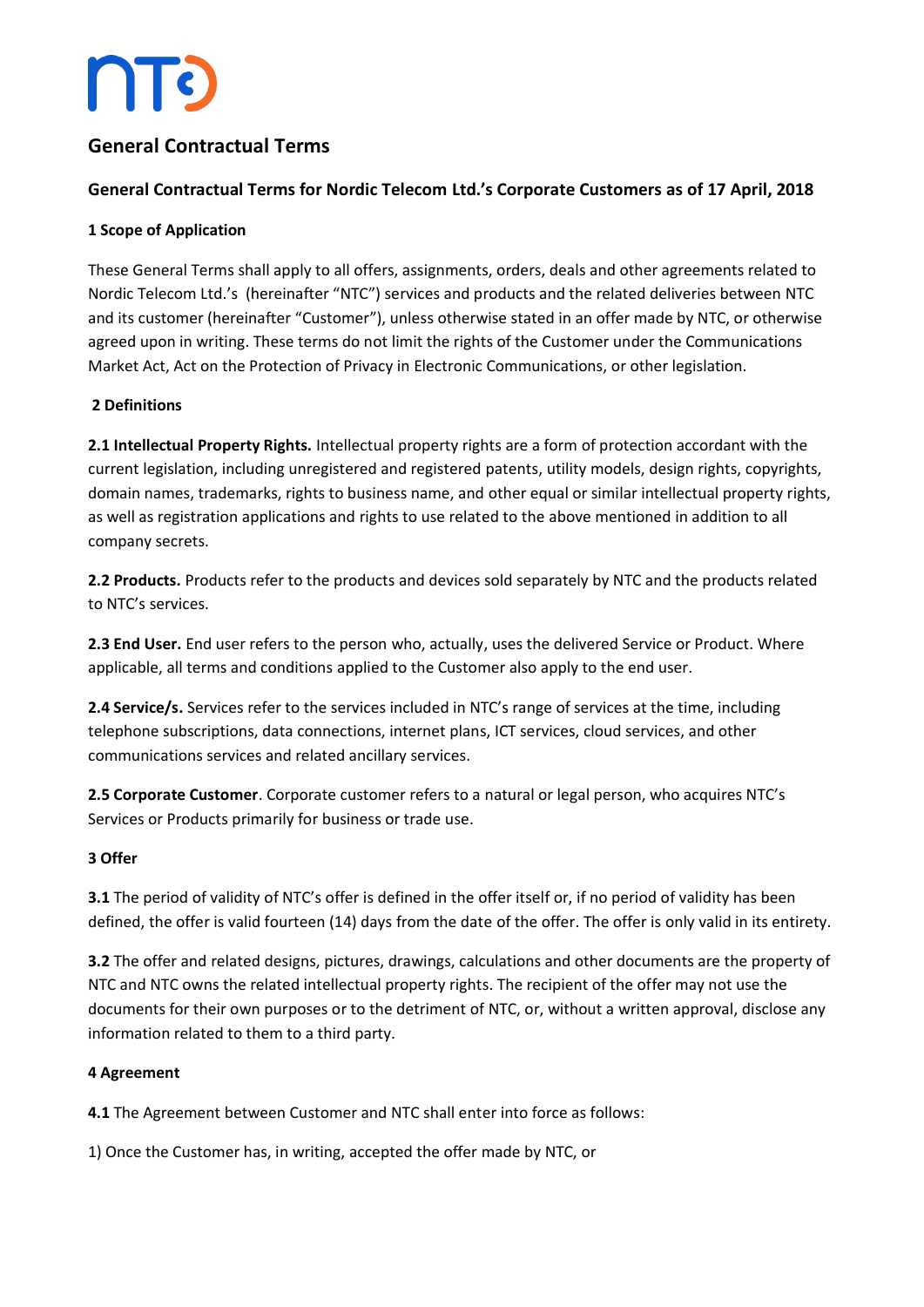## **ATC**

### **General Contractual Terms**

### **General Contractual Terms for Nordic Telecom Ltd.'s Corporate Customers as of 17 April, 2018**

#### **1 Scope of Application**

These General Terms shall apply to all offers, assignments, orders, deals and other agreements related to Nordic Telecom Ltd.'s (hereinafter "NTC") services and products and the related deliveries between NTC and its customer (hereinafter "Customer"), unless otherwise stated in an offer made by NTC, or otherwise agreed upon in writing. These terms do not limit the rights of the Customer under the Communications Market Act, Act on the Protection of Privacy in Electronic Communications, or other legislation.

#### **2 Definitions**

**2.1 Intellectual Property Rights.** Intellectual property rights are a form of protection accordant with the current legislation, including unregistered and registered patents, utility models, design rights, copyrights, domain names, trademarks, rights to business name, and other equal or similar intellectual property rights, as well as registration applications and rights to use related to the above mentioned in addition to all company secrets.

**2.2 Products.** Products refer to the products and devices sold separately by NTC and the products related to NTC's services.

**2.3 End User.** End user refers to the person who, actually, uses the delivered Service or Product. Where applicable, all terms and conditions applied to the Customer also apply to the end user.

2.4 Service/s. Services refer to the services included in NTC's range of services at the time, including telephone subscriptions, data connections, internet plans, ICT services, cloud services, and other communications services and related ancillary services.

**2.5 Corporate Customer**. Corporate customer refers to a natural or legal person, who acquires NTC's Services or Products primarily for business or trade use.

#### **3 Offer**

**3.1** The period of validity of NTC's offer is defined in the offer itself or, if no period of validity has been defined, the offer is valid fourteen (14) days from the date of the offer. The offer is only valid in its entirety.

**3.2** The offer and related designs, pictures, drawings, calculations and other documents are the property of NTC and NTC owns the related intellectual property rights. The recipient of the offer may not use the documents for their own purposes or to the detriment of NTC, or, without a written approval, disclose any information related to them to a third party.

#### **4 Agreement**

**4.1** The Agreement between Customer and NTC shall enter into force as follows:

1) Once the Customer has, in writing, accepted the offer made by NTC, or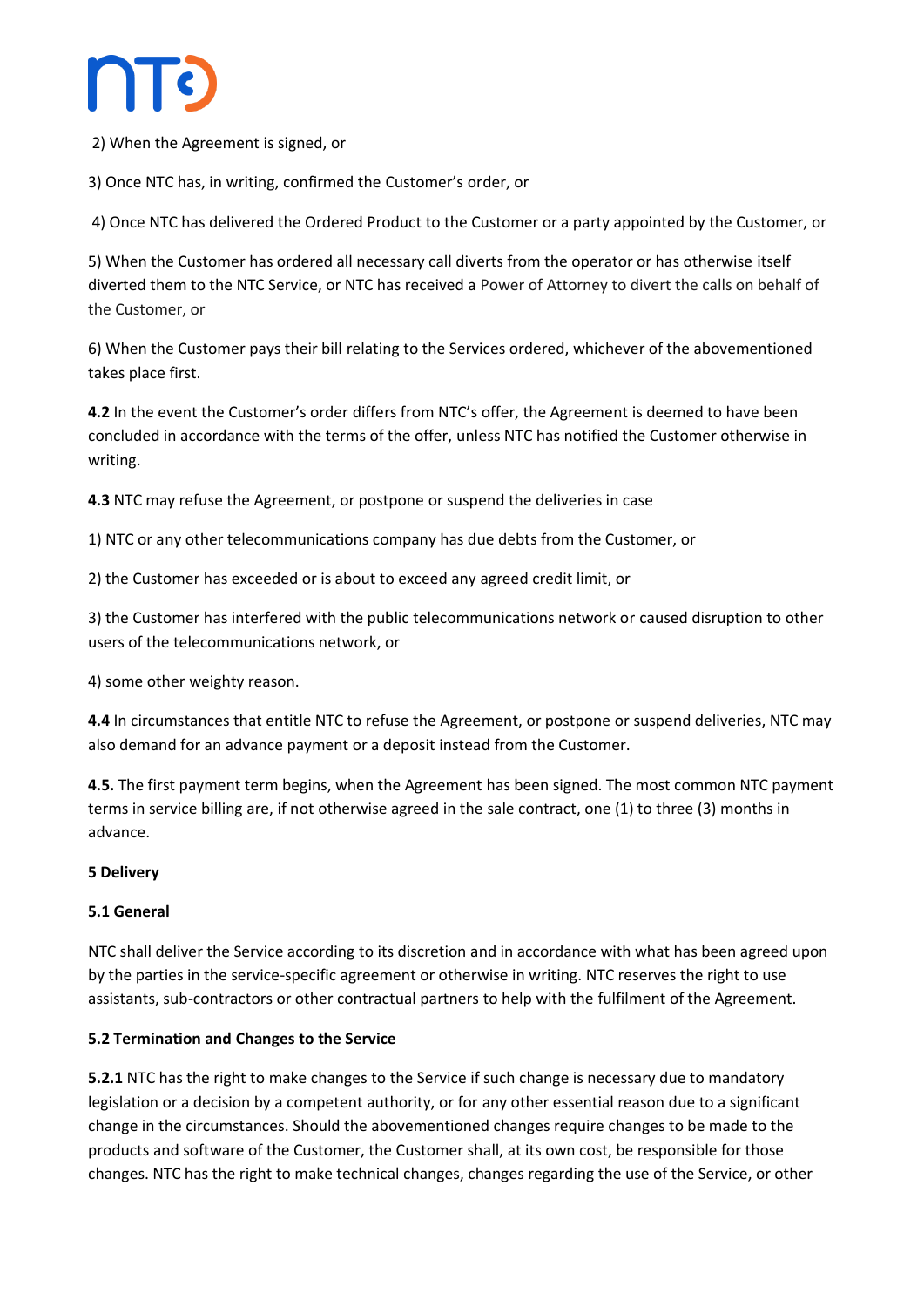

2) When the Agreement is signed, or

3) Once NTC has, in writing, confirmed the Customer's order, or

4) Once NTC has delivered the Ordered Product to the Customer or a party appointed by the Customer, or

5) When the Customer has ordered all necessary call diverts from the operator or has otherwise itself diverted them to the NTC Service, or NTC has received a Power of Attorney to divert the calls on behalf of the Customer, or

6) When the Customer pays their bill relating to the Services ordered, whichever of the abovementioned takes place first.

**4.2** In the event the Customer's order differs from NTC's offer, the Agreement is deemed to have been concluded in accordance with the terms of the offer, unless NTC has notified the Customer otherwise in writing.

**4.3** NTC may refuse the Agreement, or postpone or suspend the deliveries in case

1) NTC or any other telecommunications company has due debts from the Customer, or

2) the Customer has exceeded or is about to exceed any agreed credit limit, or

3) the Customer has interfered with the public telecommunications network or caused disruption to other users of the telecommunications network, or

4) some other weighty reason.

**4.4** In circumstances that entitle NTC to refuse the Agreement, or postpone or suspend deliveries, NTC may also demand for an advance payment or a deposit instead from the Customer.

**4.5.** The first payment term begins, when the Agreement has been signed. The most common NTC payment terms in service billing are, if not otherwise agreed in the sale contract, one (1) to three (3) months in advance.

#### **5 Delivery**

#### **5.1 General**

NTC shall deliver the Service according to its discretion and in accordance with what has been agreed upon by the parties in the service-specific agreement or otherwise in writing. NTC reserves the right to use assistants, sub-contractors or other contractual partners to help with the fulfilment of the Agreement.

#### **5.2 Termination and Changes to the Service**

**5.2.1** NTC has the right to make changes to the Service if such change is necessary due to mandatory legislation or a decision by a competent authority, or for any other essential reason due to a significant change in the circumstances. Should the abovementioned changes require changes to be made to the products and software of the Customer, the Customer shall, at its own cost, be responsible for those changes. NTC has the right to make technical changes, changes regarding the use of the Service, or other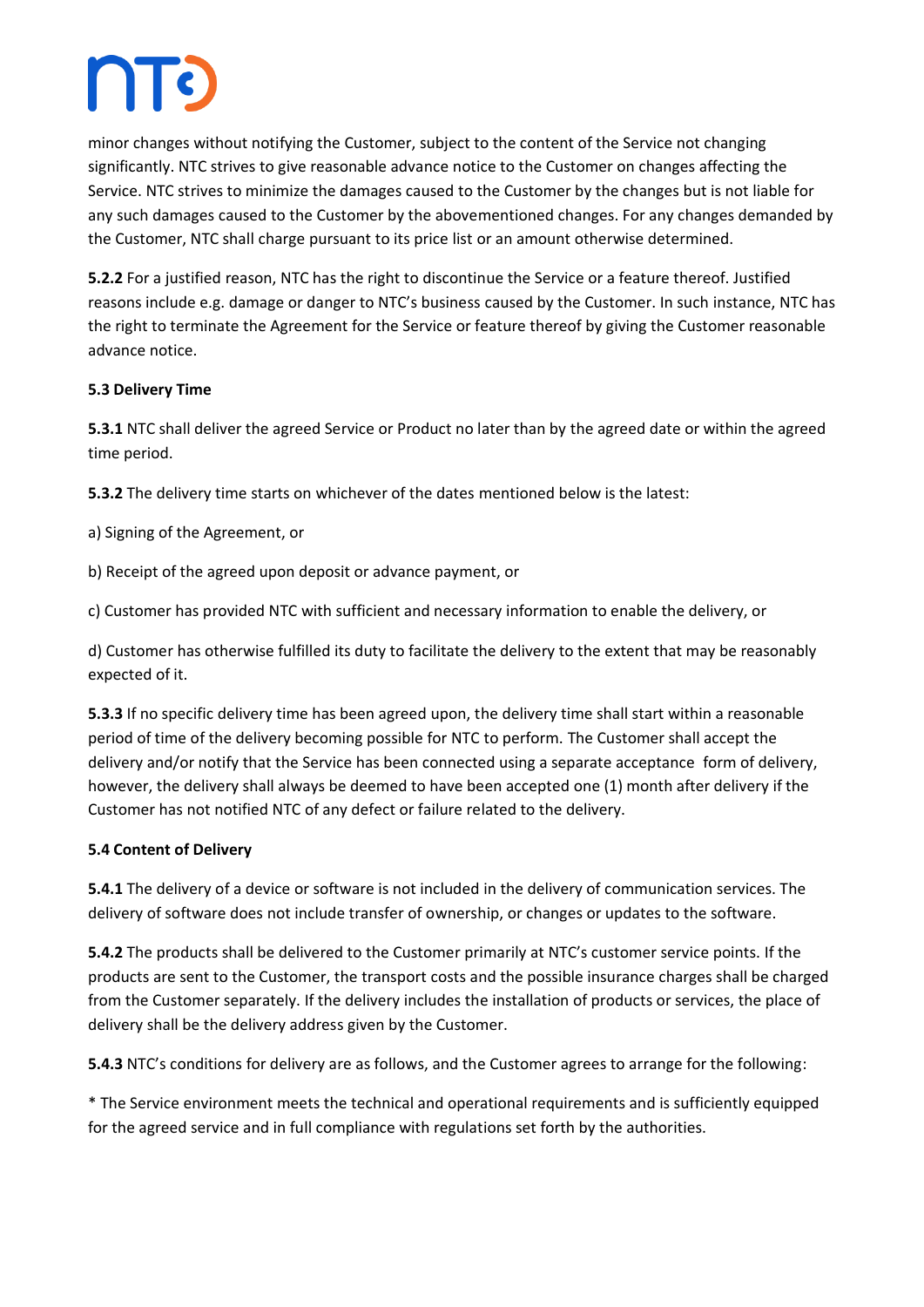minor changes without notifying the Customer, subject to the content of the Service not changing significantly. NTC strives to give reasonable advance notice to the Customer on changes affecting the Service. NTC strives to minimize the damages caused to the Customer by the changes but is not liable for any such damages caused to the Customer by the abovementioned changes. For any changes demanded by the Customer, NTC shall charge pursuant to its price list or an amount otherwise determined.

**5.2.2** For a justified reason, NTC has the right to discontinue the Service or a feature thereof. Justified reasons include e.g. damage or danger to NTC's business caused by the Customer. In such instance, NTC has the right to terminate the Agreement for the Service or feature thereof by giving the Customer reasonable advance notice.

#### **5.3 Delivery Time**

**5.3.1** NTC shall deliver the agreed Service or Product no later than by the agreed date or within the agreed time period.

**5.3.2** The delivery time starts on whichever of the dates mentioned below is the latest:

a) Signing of the Agreement, or

b) Receipt of the agreed upon deposit or advance payment, or

c) Customer has provided NTC with sufficient and necessary information to enable the delivery, or

d) Customer has otherwise fulfilled its duty to facilitate the delivery to the extent that may be reasonably expected of it.

**5.3.3** If no specific delivery time has been agreed upon, the delivery time shall start within a reasonable period of time of the delivery becoming possible for NTC to perform. The Customer shall accept the delivery and/or notify that the Service has been connected using a separate acceptance form of delivery, however, the delivery shall always be deemed to have been accepted one (1) month after delivery if the Customer has not notified NTC of any defect or failure related to the delivery.

#### **5.4 Content of Delivery**

**5.4.1** The delivery of a device or software is not included in the delivery of communication services. The delivery of software does not include transfer of ownership, or changes or updates to the software.

**5.4.2** The products shall be delivered to the Customer primarily at NTC's customer service points. If the products are sent to the Customer, the transport costs and the possible insurance charges shall be charged from the Customer separately. If the delivery includes the installation of products or services, the place of delivery shall be the delivery address given by the Customer.

**5.4.3** NTC's conditions for delivery are as follows, and the Customer agrees to arrange for the following:

\* The Service environment meets the technical and operational requirements and is sufficiently equipped for the agreed service and in full compliance with regulations set forth by the authorities.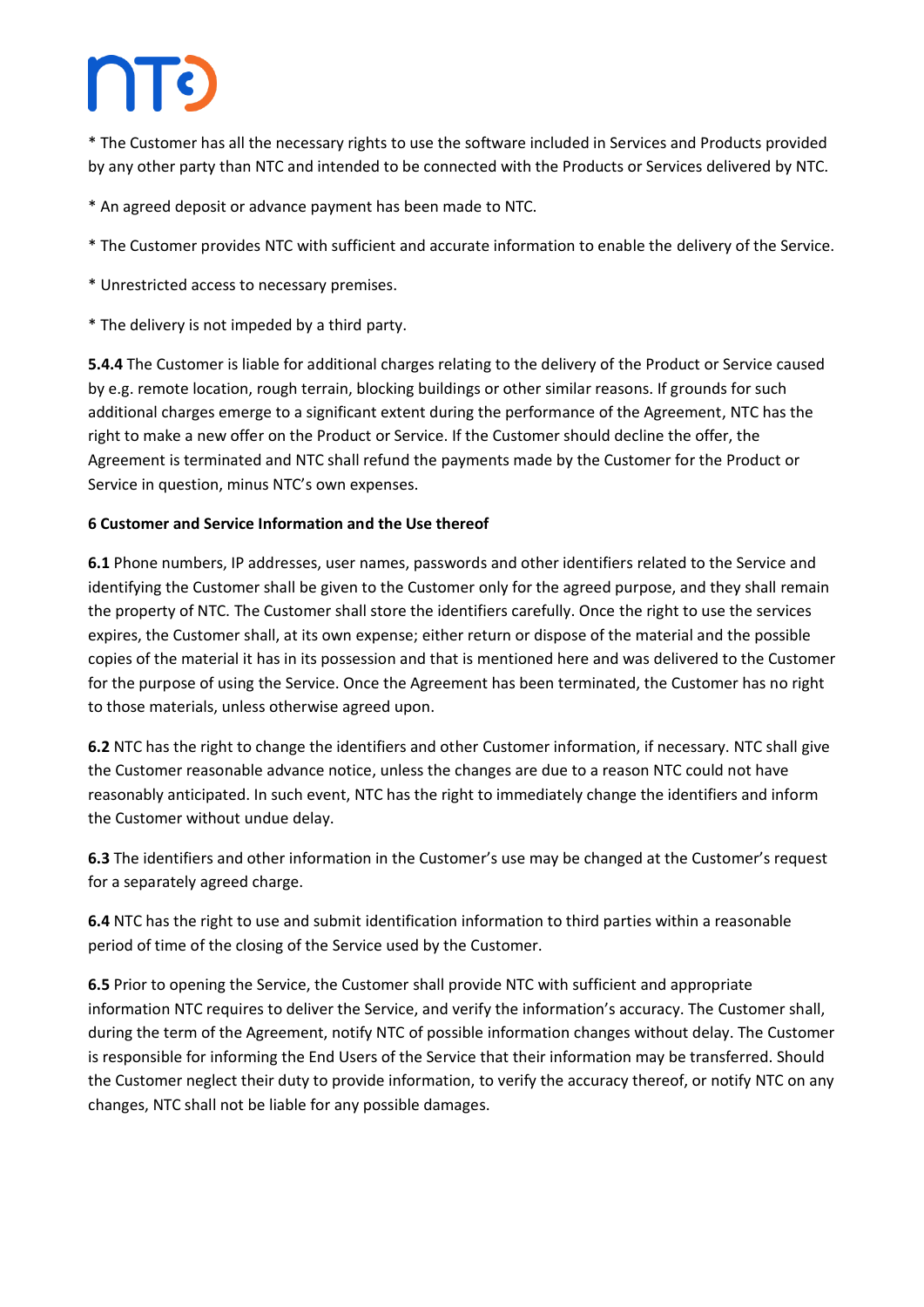\* The Customer has all the necessary rights to use the software included in Services and Products provided by any other party than NTC and intended to be connected with the Products or Services delivered by NTC.

\* An agreed deposit or advance payment has been made to NTC.

- \* The Customer provides NTC with sufficient and accurate information to enable the delivery of the Service.
- \* Unrestricted access to necessary premises.
- \* The delivery is not impeded by a third party.

**5.4.4** The Customer is liable for additional charges relating to the delivery of the Product or Service caused by e.g. remote location, rough terrain, blocking buildings or other similar reasons. If grounds for such additional charges emerge to a significant extent during the performance of the Agreement, NTC has the right to make a new offer on the Product or Service. If the Customer should decline the offer, the Agreement is terminated and NTC shall refund the payments made by the Customer for the Product or Service in question, minus NTC's own expenses.

#### **6 Customer and Service Information and the Use thereof**

**6.1** Phone numbers, IP addresses, user names, passwords and other identifiers related to the Service and identifying the Customer shall be given to the Customer only for the agreed purpose, and they shall remain the property of NTC. The Customer shall store the identifiers carefully. Once the right to use the services expires, the Customer shall, at its own expense; either return or dispose of the material and the possible copies of the material it has in its possession and that is mentioned here and was delivered to the Customer for the purpose of using the Service. Once the Agreement has been terminated, the Customer has no right to those materials, unless otherwise agreed upon.

**6.2** NTC has the right to change the identifiers and other Customer information, if necessary. NTC shall give the Customer reasonable advance notice, unless the changes are due to a reason NTC could not have reasonably anticipated. In such event, NTC has the right to immediately change the identifiers and inform the Customer without undue delay.

**6.3** The identifiers and other information in the Customer's use may be changed at the Customer's request for a separately agreed charge.

**6.4** NTC has the right to use and submit identification information to third parties within a reasonable period of time of the closing of the Service used by the Customer.

**6.5** Prior to opening the Service, the Customer shall provide NTC with sufficient and appropriate information NTC requires to deliver the Service, and verify the information's accuracy. The Customer shall, during the term of the Agreement, notify NTC of possible information changes without delay. The Customer is responsible for informing the End Users of the Service that their information may be transferred. Should the Customer neglect their duty to provide information, to verify the accuracy thereof, or notify NTC on any changes, NTC shall not be liable for any possible damages.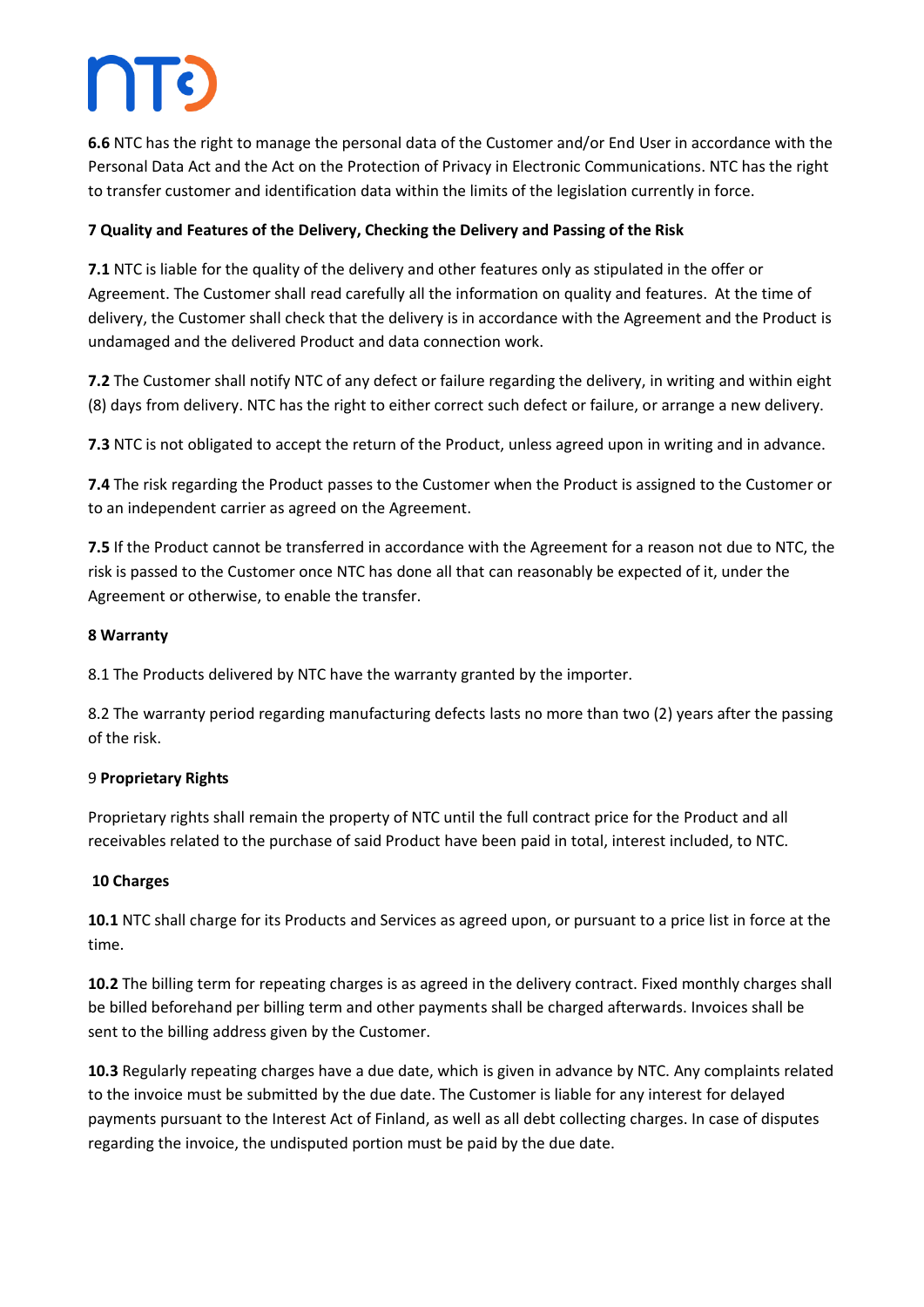**6.6** NTC has the right to manage the personal data of the Customer and/or End User in accordance with the Personal Data Act and the Act on the Protection of Privacy in Electronic Communications. NTC has the right to transfer customer and identification data within the limits of the legislation currently in force.

### **7 Quality and Features of the Delivery, Checking the Delivery and Passing of the Risk**

**7.1** NTC is liable for the quality of the delivery and other features only as stipulated in the offer or Agreement. The Customer shall read carefully all the information on quality and features. At the time of delivery, the Customer shall check that the delivery is in accordance with the Agreement and the Product is undamaged and the delivered Product and data connection work.

**7.2** The Customer shall notify NTC of any defect or failure regarding the delivery, in writing and within eight (8) days from delivery. NTC has the right to either correct such defect or failure, or arrange a new delivery.

**7.3** NTC is not obligated to accept the return of the Product, unless agreed upon in writing and in advance.

**7.4** The risk regarding the Product passes to the Customer when the Product is assigned to the Customer or to an independent carrier as agreed on the Agreement.

**7.5** If the Product cannot be transferred in accordance with the Agreement for a reason not due to NTC, the risk is passed to the Customer once NTC has done all that can reasonably be expected of it, under the Agreement or otherwise, to enable the transfer.

#### **8 Warranty**

8.1 The Products delivered by NTC have the warranty granted by the importer.

8.2 The warranty period regarding manufacturing defects lasts no more than two (2) years after the passing of the risk.

#### 9 **Proprietary Rights**

Proprietary rights shall remain the property of NTC until the full contract price for the Product and all receivables related to the purchase of said Product have been paid in total, interest included, to NTC.

#### **10 Charges**

**10.1** NTC shall charge for its Products and Services as agreed upon, or pursuant to a price list in force at the time.

**10.2** The billing term for repeating charges is as agreed in the delivery contract. Fixed monthly charges shall be billed beforehand per billing term and other payments shall be charged afterwards. Invoices shall be sent to the billing address given by the Customer.

**10.3** Regularly repeating charges have a due date, which is given in advance by NTC. Any complaints related to the invoice must be submitted by the due date. The Customer is liable for any interest for delayed payments pursuant to the Interest Act of Finland, as well as all debt collecting charges. In case of disputes regarding the invoice, the undisputed portion must be paid by the due date.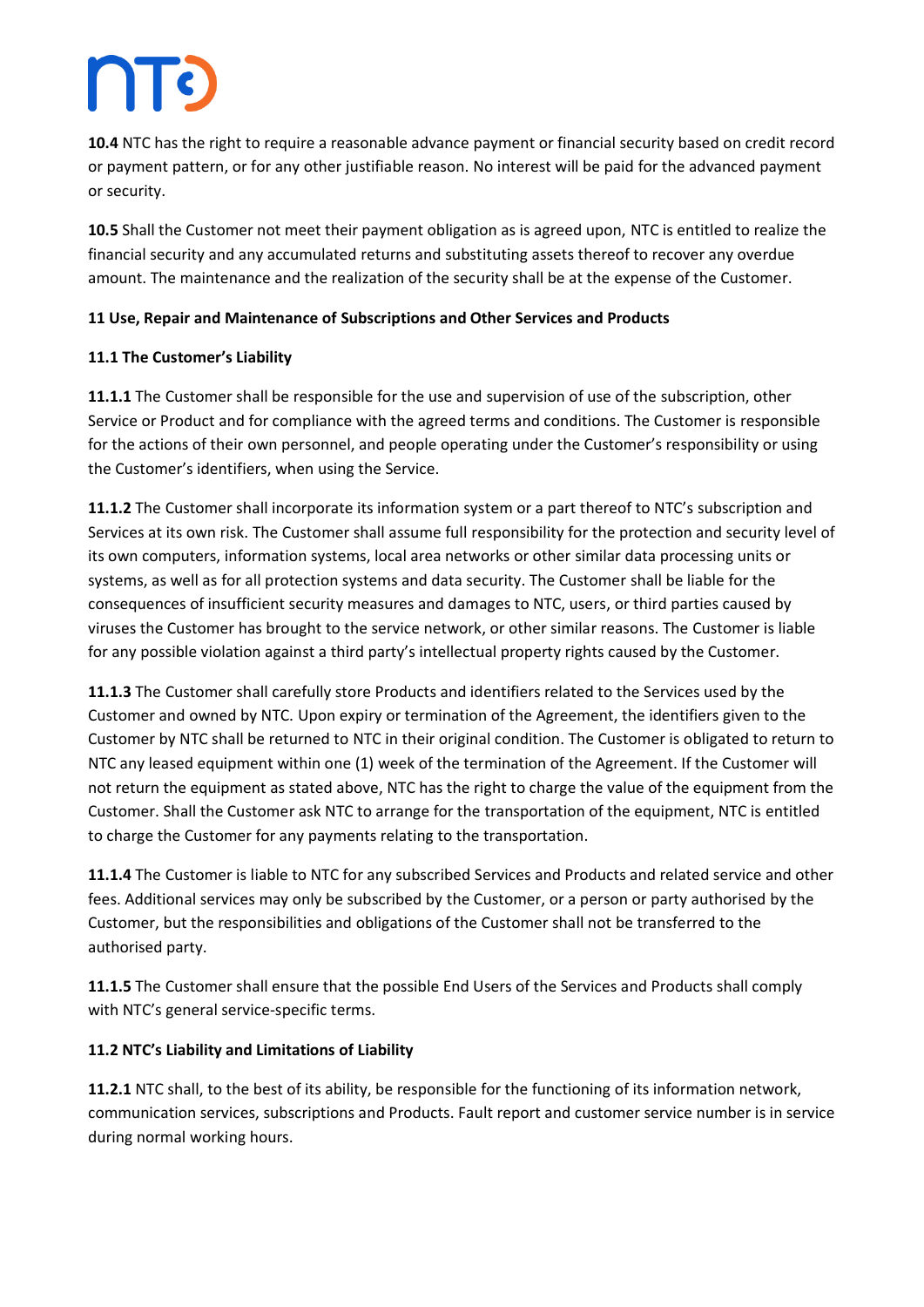# $\prod$

**10.4** NTC has the right to require a reasonable advance payment or financial security based on credit record or payment pattern, or for any other justifiable reason. No interest will be paid for the advanced payment or security.

**10.5** Shall the Customer not meet their payment obligation as is agreed upon, NTC is entitled to realize the financial security and any accumulated returns and substituting assets thereof to recover any overdue amount. The maintenance and the realization of the security shall be at the expense of the Customer.

#### **11 Use, Repair and Maintenance of Subscriptions and Other Services and Products**

#### **11.1 The Customer's Liability**

**11.1.1** The Customer shall be responsible for the use and supervision of use of the subscription, other Service or Product and for compliance with the agreed terms and conditions. The Customer is responsible for the actions of their own personnel, and people operating under the Customer's responsibility or using the Customer's identifiers, when using the Service.

**11.1.2** The Customer shall incorporate its information system or a part thereof to NTC's subscription and Services at its own risk. The Customer shall assume full responsibility for the protection and security level of its own computers, information systems, local area networks or other similar data processing units or systems, as well as for all protection systems and data security. The Customer shall be liable for the consequences of insufficient security measures and damages to NTC, users, or third parties caused by viruses the Customer has brought to the service network, or other similar reasons. The Customer is liable for any possible violation against a third party's intellectual property rights caused by the Customer.

**11.1.3** The Customer shall carefully store Products and identifiers related to the Services used by the Customer and owned by NTC. Upon expiry or termination of the Agreement, the identifiers given to the Customer by NTC shall be returned to NTC in their original condition. The Customer is obligated to return to NTC any leased equipment within one (1) week of the termination of the Agreement. If the Customer will not return the equipment as stated above, NTC has the right to charge the value of the equipment from the Customer. Shall the Customer ask NTC to arrange for the transportation of the equipment, NTC is entitled to charge the Customer for any payments relating to the transportation.

**11.1.4** The Customer is liable to NTC for any subscribed Services and Products and related service and other fees. Additional services may only be subscribed by the Customer, or a person or party authorised by the Customer, but the responsibilities and obligations of the Customer shall not be transferred to the authorised party.

**11.1.5** The Customer shall ensure that the possible End Users of the Services and Products shall comply with NTC's general service-specific terms.

#### **11.2 NTC's Liability and Limitations of Liability**

**11.2.1** NTC shall, to the best of its ability, be responsible for the functioning of its information network, communication services, subscriptions and Products. Fault report and customer service number is in service during normal working hours.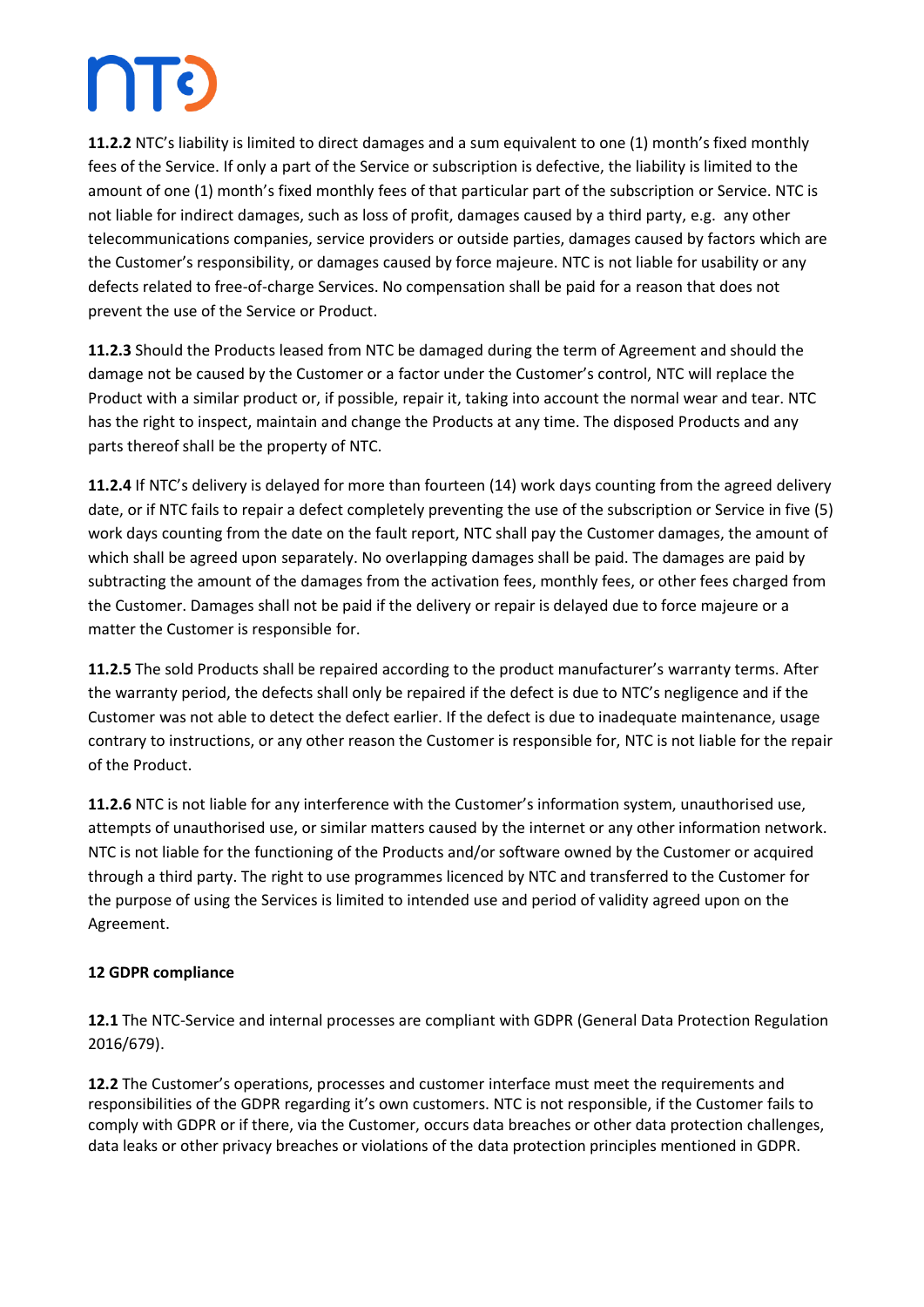## $\prod$

**11.2.2** NTC's liability is limited to direct damages and a sum equivalent to one (1) month's fixed monthly fees of the Service. If only a part of the Service or subscription is defective, the liability is limited to the amount of one (1) month's fixed monthly fees of that particular part of the subscription or Service. NTC is not liable for indirect damages, such as loss of profit, damages caused by a third party, e.g. any other telecommunications companies, service providers or outside parties, damages caused by factors which are the Customer's responsibility, or damages caused by force majeure. NTC is not liable for usability or any defects related to free-of-charge Services. No compensation shall be paid for a reason that does not prevent the use of the Service or Product.

**11.2.3** Should the Products leased from NTC be damaged during the term of Agreement and should the damage not be caused by the Customer or a factor under the Customer's control, NTC will replace the Product with a similar product or, if possible, repair it, taking into account the normal wear and tear. NTC has the right to inspect, maintain and change the Products at any time. The disposed Products and any parts thereof shall be the property of NTC.

**11.2.4** If NTC's delivery is delayed for more than fourteen (14) work days counting from the agreed delivery date, or if NTC fails to repair a defect completely preventing the use of the subscription or Service in five (5) work days counting from the date on the fault report, NTC shall pay the Customer damages, the amount of which shall be agreed upon separately. No overlapping damages shall be paid. The damages are paid by subtracting the amount of the damages from the activation fees, monthly fees, or other fees charged from the Customer. Damages shall not be paid if the delivery or repair is delayed due to force majeure or a matter the Customer is responsible for.

**11.2.5** The sold Products shall be repaired according to the product manufacturer's warranty terms. After the warranty period, the defects shall only be repaired if the defect is due to NTC's negligence and if the Customer was not able to detect the defect earlier. If the defect is due to inadequate maintenance, usage contrary to instructions, or any other reason the Customer is responsible for, NTC is not liable for the repair of the Product.

**11.2.6** NTC is not liable for any interference with the Customer's information system, unauthorised use, attempts of unauthorised use, or similar matters caused by the internet or any other information network. NTC is not liable for the functioning of the Products and/or software owned by the Customer or acquired through a third party. The right to use programmes licenced by NTC and transferred to the Customer for the purpose of using the Services is limited to intended use and period of validity agreed upon on the Agreement.

### **12 GDPR compliance**

**12.1** The NTC-Service and internal processes are compliant with GDPR (General Data Protection Regulation 2016/679).

**12.2** The Customer's operations, processes and customer interface must meet the requirements and responsibilities of the GDPR regarding it's own customers. NTC is not responsible, if the Customer fails to comply with GDPR or if there, via the Customer, occurs data breaches or other data protection challenges, data leaks or other privacy breaches or violations of the data protection principles mentioned in GDPR.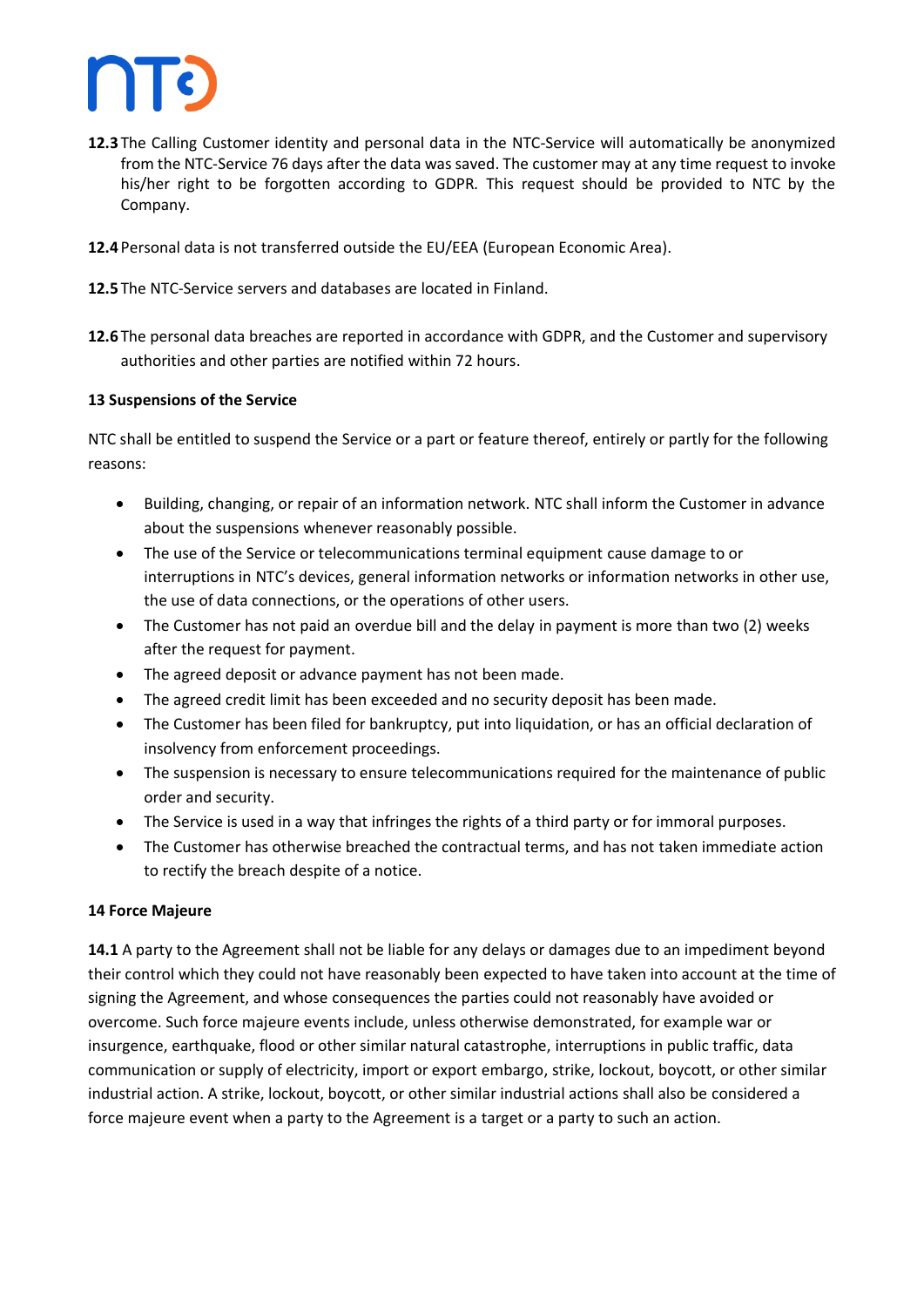

- **12.3** The Calling Customer identity and personal data in the NTC-Service will automatically be anonymized from the NTC-Service 76 days after the data was saved. The customer may at any time request to invoke his/her right to be forgotten according to GDPR*.* This request should be provided to NTC by the Company.
- **12.4** Personal data is not transferred outside the EU/EEA (European Economic Area).
- **12.5** The NTC-Service servers and databases are located in Finland.
- **12.6** The personal data breaches are reported in accordance with GDPR, and the Customer and supervisory authorities and other parties are notified within 72 hours.

#### **13 Suspensions of the Service**

NTC shall be entitled to suspend the Service or a part or feature thereof, entirely or partly for the following reasons:

- Building, changing, or repair of an information network. NTC shall inform the Customer in advance about the suspensions whenever reasonably possible.
- The use of the Service or telecommunications terminal equipment cause damage to or interruptions in NTC's devices, general information networks or information networks in other use, the use of data connections, or the operations of other users.
- The Customer has not paid an overdue bill and the delay in payment is more than two (2) weeks after the request for payment.
- The agreed deposit or advance payment has not been made.
- The agreed credit limit has been exceeded and no security deposit has been made.
- The Customer has been filed for bankruptcy, put into liquidation, or has an official declaration of insolvency from enforcement proceedings.
- The suspension is necessary to ensure telecommunications required for the maintenance of public order and security.
- The Service is used in a way that infringes the rights of a third party or for immoral purposes.
- The Customer has otherwise breached the contractual terms, and has not taken immediate action to rectify the breach despite of a notice.

#### **14 Force Majeure**

**14.1** A party to the Agreement shall not be liable for any delays or damages due to an impediment beyond their control which they could not have reasonably been expected to have taken into account at the time of signing the Agreement, and whose consequences the parties could not reasonably have avoided or overcome. Such force majeure events include, unless otherwise demonstrated, for example war or insurgence, earthquake, flood or other similar natural catastrophe, interruptions in public traffic, data communication or supply of electricity, import or export embargo, strike, lockout, boycott, or other similar industrial action. A strike, lockout, boycott, or other similar industrial actions shall also be considered a force majeure event when a party to the Agreement is a target or a party to such an action.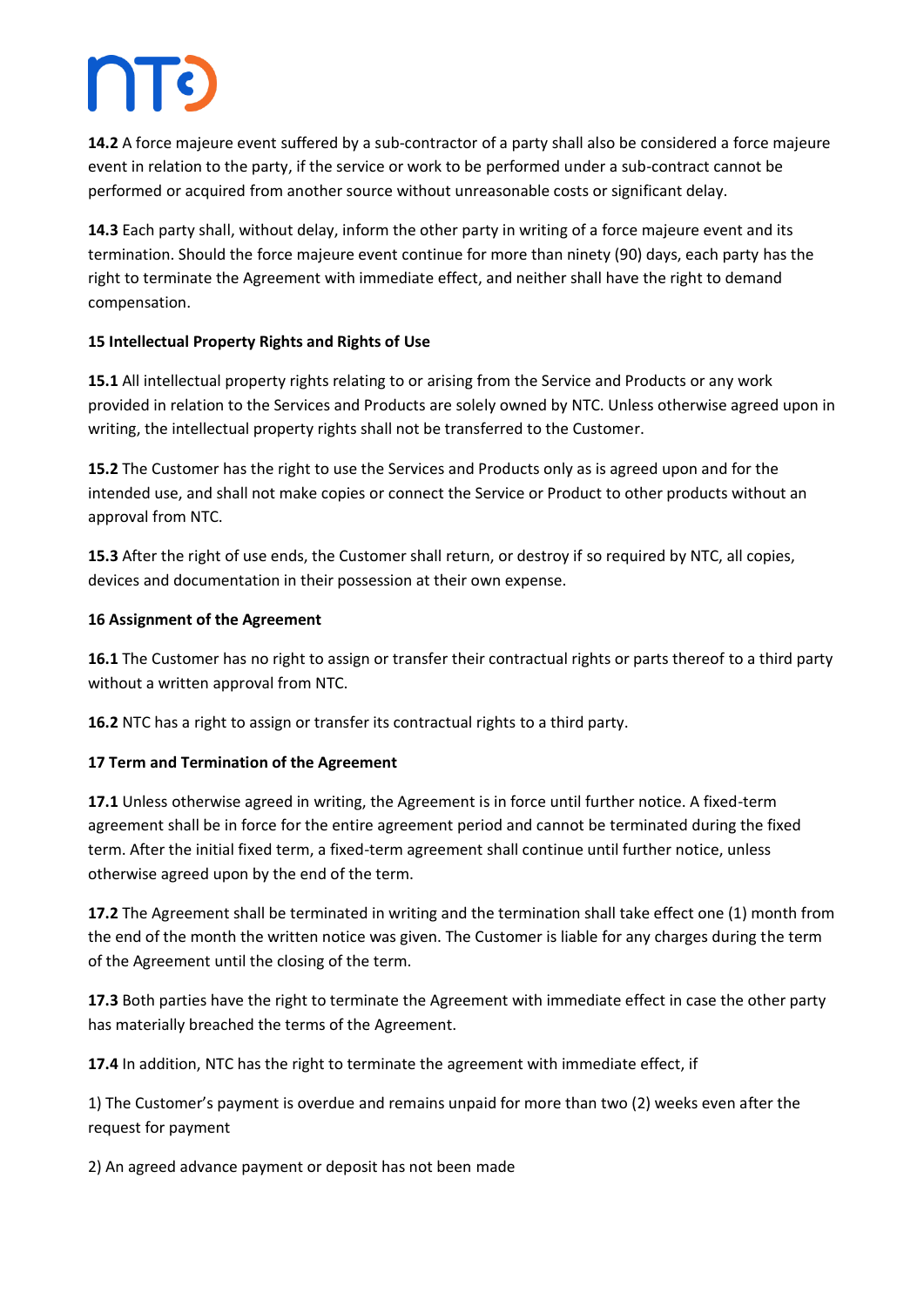**14.2** A force majeure event suffered by a sub-contractor of a party shall also be considered a force majeure event in relation to the party, if the service or work to be performed under a sub-contract cannot be performed or acquired from another source without unreasonable costs or significant delay.

**14.3** Each party shall, without delay, inform the other party in writing of a force majeure event and its termination. Should the force majeure event continue for more than ninety (90) days, each party has the right to terminate the Agreement with immediate effect, and neither shall have the right to demand compensation.

#### **15 Intellectual Property Rights and Rights of Use**

**15.1** All intellectual property rights relating to or arising from the Service and Products or any work provided in relation to the Services and Products are solely owned by NTC. Unless otherwise agreed upon in writing, the intellectual property rights shall not be transferred to the Customer.

**15.2** The Customer has the right to use the Services and Products only as is agreed upon and for the intended use, and shall not make copies or connect the Service or Product to other products without an approval from NTC.

**15.3** After the right of use ends, the Customer shall return, or destroy if so required by NTC, all copies, devices and documentation in their possession at their own expense.

#### **16 Assignment of the Agreement**

**16.1** The Customer has no right to assign or transfer their contractual rights or parts thereof to a third party without a written approval from NTC.

**16.2** NTC has a right to assign or transfer its contractual rights to a third party.

#### **17 Term and Termination of the Agreement**

**17.1** Unless otherwise agreed in writing, the Agreement is in force until further notice. A fixed-term agreement shall be in force for the entire agreement period and cannot be terminated during the fixed term. After the initial fixed term, a fixed-term agreement shall continue until further notice, unless otherwise agreed upon by the end of the term.

**17.2** The Agreement shall be terminated in writing and the termination shall take effect one (1) month from the end of the month the written notice was given. The Customer is liable for any charges during the term of the Agreement until the closing of the term.

**17.3** Both parties have the right to terminate the Agreement with immediate effect in case the other party has materially breached the terms of the Agreement.

**17.4** In addition, NTC has the right to terminate the agreement with immediate effect, if

1) The Customer's payment is overdue and remains unpaid for more than two (2) weeks even after the request for payment

2) An agreed advance payment or deposit has not been made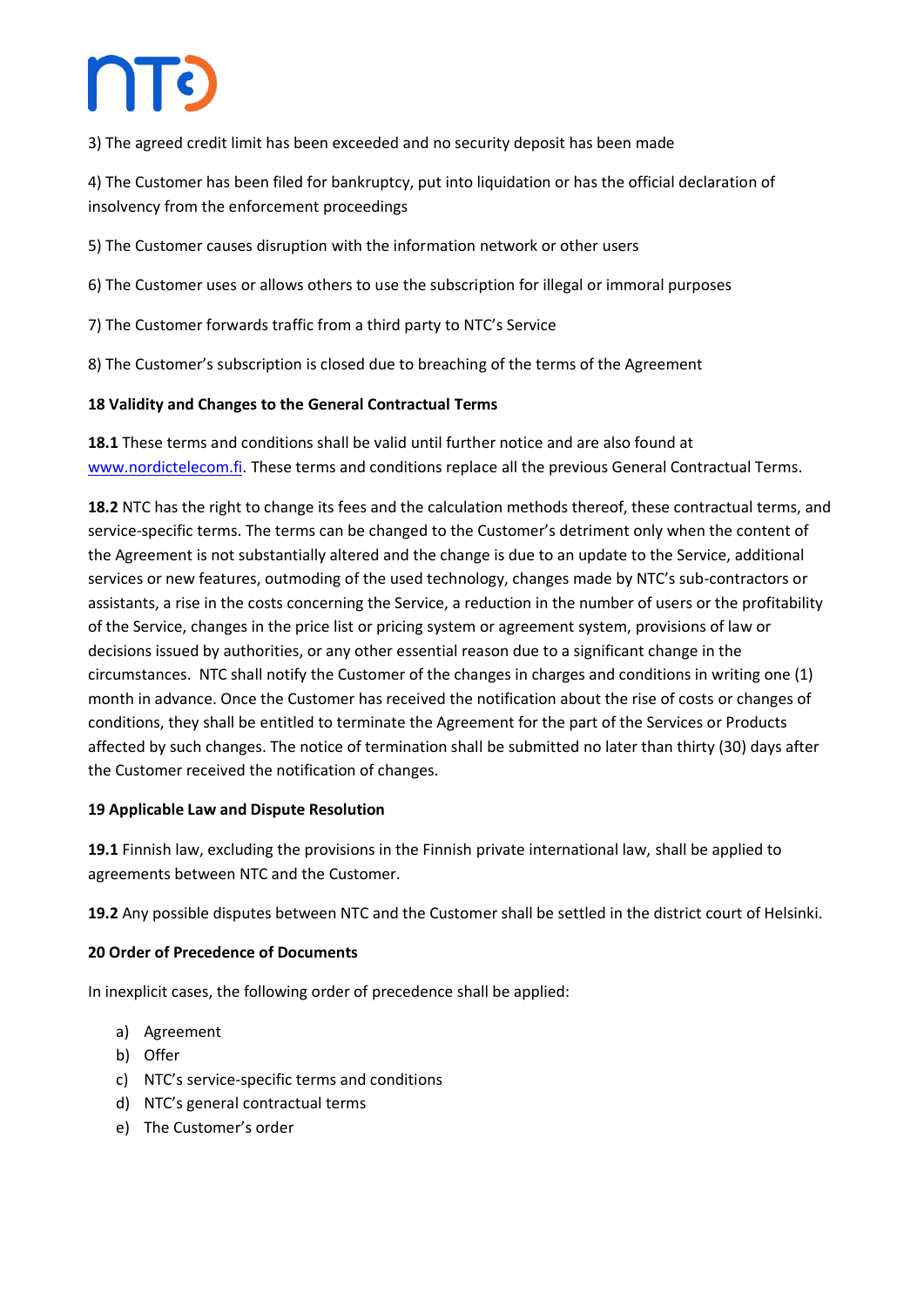## **ATC**

3) The agreed credit limit has been exceeded and no security deposit has been made

4) The Customer has been filed for bankruptcy, put into liquidation or has the official declaration of insolvency from the enforcement proceedings

5) The Customer causes disruption with the information network or other users

6) The Customer uses or allows others to use the subscription for illegal or immoral purposes

7) The Customer forwards traffic from a third party to NTC's Service

8) The Customer's subscription is closed due to breaching of the terms of the Agreement

#### **18 Validity and Changes to the General Contractual Terms**

**18.1** These terms and conditions shall be valid until further notice and are also found at [www.nordictelecom.fi.](http://www.nordictelecom.fi/) These terms and conditions replace all the previous General Contractual Terms.

**18.2** NTC has the right to change its fees and the calculation methods thereof, these contractual terms, and service-specific terms. The terms can be changed to the Customer's detriment only when the content of the Agreement is not substantially altered and the change is due to an update to the Service, additional services or new features, outmoding of the used technology, changes made by NTC's sub-contractors or assistants, a rise in the costs concerning the Service, a reduction in the number of users or the profitability of the Service, changes in the price list or pricing system or agreement system, provisions of law or decisions issued by authorities, or any other essential reason due to a significant change in the circumstances. NTC shall notify the Customer of the changes in charges and conditions in writing one (1) month in advance. Once the Customer has received the notification about the rise of costs or changes of conditions, they shall be entitled to terminate the Agreement for the part of the Services or Products affected by such changes. The notice of termination shall be submitted no later than thirty (30) days after the Customer received the notification of changes.

#### **19 Applicable Law and Dispute Resolution**

**19.1** Finnish law, excluding the provisions in the Finnish private international law, shall be applied to agreements between NTC and the Customer.

**19.2** Any possible disputes between NTC and the Customer shall be settled in the district court of Helsinki.

#### **20 Order of Precedence of Documents**

In inexplicit cases, the following order of precedence shall be applied:

- a) Agreement
- b) Offer
- c) NTC's service-specific terms and conditions
- d) NTC's general contractual terms
- e) The Customer's order